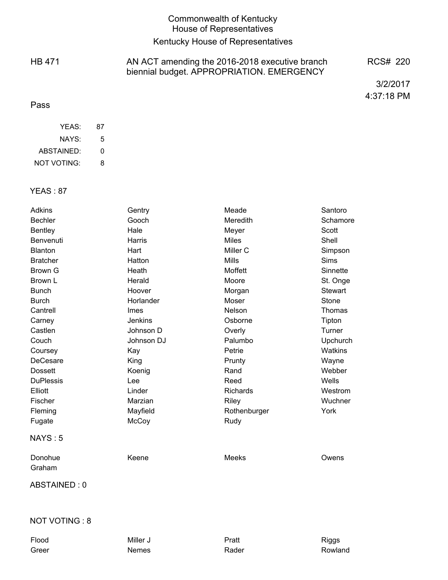# Commonwealth of Kentucky House of Representatives

# Kentucky House of Representatives

HB 471

#### AN ACT amending the 2016-2018 executive branch biennial budget. APPROPRIATION. EMERGENCY RCS# 220

3/2/2017 4:37:18 PM

### Pass

| YFAS:       | 87 |
|-------------|----|
| NAYS:       | 5  |
| ABSTAINED:  | O  |
| NOT VOTING: | 8  |

#### YEAS : 87

| <b>Adkins</b>     | Gentry         | Meade        | Santoro        |
|-------------------|----------------|--------------|----------------|
| <b>Bechler</b>    | Gooch          | Meredith     | Schamore       |
| <b>Bentley</b>    | Hale           | Meyer        | Scott          |
| Benvenuti         | Harris         | <b>Miles</b> | Shell          |
| <b>Blanton</b>    | Hart           | Miller C     | Simpson        |
| <b>Bratcher</b>   | Hatton         | <b>Mills</b> | Sims           |
| <b>Brown G</b>    | Heath          | Moffett      | Sinnette       |
| Brown L           | Herald         | Moore        | St. Onge       |
| <b>Bunch</b>      | Hoover         | Morgan       | <b>Stewart</b> |
| <b>Burch</b>      | Horlander      | Moser        | <b>Stone</b>   |
| Cantrell          | Imes           | Nelson       | Thomas         |
| Carney            | <b>Jenkins</b> | Osborne      | Tipton         |
| Castlen           | Johnson D      | Overly       | Turner         |
| Couch             | Johnson DJ     | Palumbo      | Upchurch       |
| Coursey           | Kay            | Petrie       | <b>Watkins</b> |
| DeCesare          | King           | Prunty       | Wayne          |
| <b>Dossett</b>    | Koenig         | Rand         | Webber         |
| <b>DuPlessis</b>  | Lee            | Reed         | Wells          |
| Elliott           | Linder         | Richards     | Westrom        |
| Fischer           | Marzian        | Riley        | Wuchner        |
| Fleming           | Mayfield       | Rothenburger | York           |
| Fugate            | McCoy          | Rudy         |                |
| NAYS:5            |                |              |                |
| Donohue<br>Graham | Keene          | <b>Meeks</b> | Owens          |
|                   |                |              |                |
| ABSTAINED: 0      |                |              |                |
|                   |                |              |                |
| NOT VOTING: 8     |                |              |                |
| Flood             | Miller J       | Pratt        | <b>Riggs</b>   |

Greer **Nemes** Rader Rader Rowland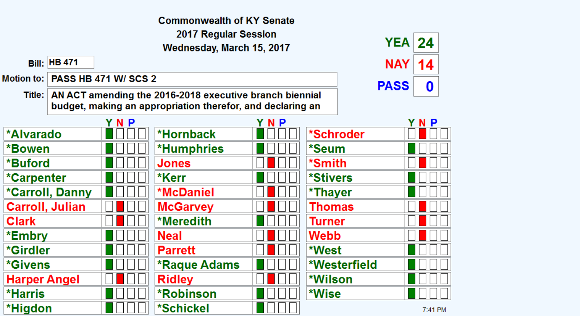|                        |                             | <b>Commonwealth of KY Senate</b>                                                                                               |     |                 |             |             |
|------------------------|-----------------------------|--------------------------------------------------------------------------------------------------------------------------------|-----|-----------------|-------------|-------------|
|                        |                             | 2017 Regular Session                                                                                                           |     |                 | <b>YEA</b>  |             |
|                        |                             | Wednesday, March 15, 2017                                                                                                      |     |                 |             | 24          |
| <b>Bill: HB 471</b>    |                             |                                                                                                                                |     |                 | <b>NAY</b>  | 14          |
| <b>Motion to:</b>      | <b>PASS HB 471 W/ SCS 2</b> |                                                                                                                                |     |                 | <b>PASS</b> | $\mathbf 0$ |
|                        |                             | Title:   AN ACT amending the 2016-2018 executive branch biennial<br>budget, making an appropriation therefor, and declaring an |     |                 |             |             |
|                        | YNP                         |                                                                                                                                | YNP |                 |             | YNP         |
| *Alvarado              |                             | *Hornback                                                                                                                      |     | *Schroder       |             |             |
| *Bowen                 |                             | <b>*Humphries</b>                                                                                                              |     | *Seum           |             |             |
| *Buford                |                             | Jones                                                                                                                          |     | *Smith          |             |             |
| *Carpenter             |                             | *Kerr                                                                                                                          |     | <b>*Stivers</b> |             |             |
| *Carroll, Danny        |                             | <b>*McDaniel</b>                                                                                                               |     | *Thayer         |             |             |
| <b>Carroll, Julian</b> |                             | <b>McGarvey</b>                                                                                                                |     | Thomas          |             |             |
| <b>Clark</b>           |                             | <b>*Meredith</b>                                                                                                               |     | Turner          |             |             |
| *Embry                 |                             | <b>Neal</b>                                                                                                                    |     | Webb            |             |             |
| *Girdler               |                             | <b>Parrett</b>                                                                                                                 |     | *West           |             |             |
| <i><b>*Givens</b></i>  |                             | <b>*Raque Adams</b>                                                                                                            |     | *Westerfield    |             |             |
| <b>Harper Angel</b>    |                             | <b>Ridley</b>                                                                                                                  |     | *Wilson         |             |             |
| <b>*Harris</b>         |                             | <b>*Robinson</b>                                                                                                               |     | *Wise           |             |             |
| *Higdon                |                             | *Schickel                                                                                                                      |     |                 |             | 7:41 PM     |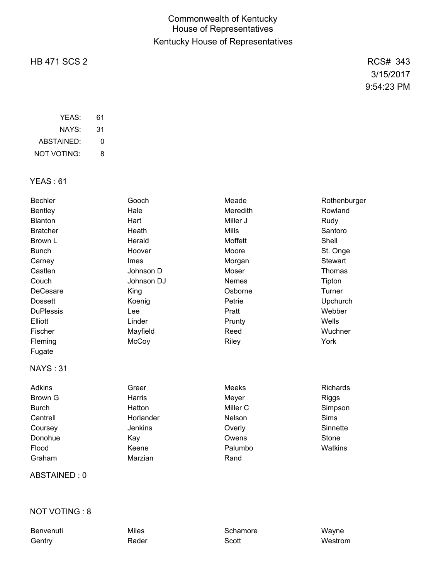# Commonwealth of Kentucky House of Representatives Kentucky House of Representatives

# HB 471 SCS 2 RCS# 343

3/15/2017 9:54:23 PM

| YFAS:       | 61 |
|-------------|----|
| NAYS:       | 31 |
| ABSTAINED:  | O  |
| NOT VOTING: | 8  |

### YEAS : 61

| Hale<br><b>Meredith</b><br><b>Bentley</b> | Rowland         |
|-------------------------------------------|-----------------|
|                                           |                 |
| Blanton<br>Hart<br>Miller J               | Rudy            |
| <b>Mills</b><br><b>Bratcher</b><br>Heath  | Santoro         |
| Herald<br>Moffett<br>Brown L              | Shell           |
| Moore<br><b>Bunch</b><br>Hoover           | St. Onge        |
| Carney<br>Imes<br>Morgan                  | <b>Stewart</b>  |
| Castlen<br>Moser<br>Johnson D             | Thomas          |
| Johnson DJ<br>Couch<br>Nemes              | Tipton          |
| DeCesare<br>Osborne<br>King               | Turner          |
| <b>Dossett</b><br>Petrie<br>Koenig        | Upchurch        |
| <b>DuPlessis</b><br>Lee<br>Pratt          | Webber          |
| Elliott<br>Linder<br>Prunty               | Wells           |
| Fischer<br>Mayfield<br>Reed               | Wuchner         |
| McCoy<br>Riley<br>Fleming                 | York            |
| Fugate                                    |                 |
| <b>NAYS: 31</b>                           |                 |
| <b>Adkins</b><br>Greer<br>Meeks           | <b>Richards</b> |
| Harris<br>Brown G<br>Meyer                | Riggs           |
| Hatton<br>Miller C<br><b>Burch</b>        | Simpson         |
| Horlander<br>Cantrell<br><b>Nelson</b>    | <b>Sims</b>     |
| Jenkins<br>Coursey<br>Overly              | Sinnette        |
| Donohue<br>Owens<br>Kay                   | Stone           |
| Flood<br>Keene<br>Palumbo                 | Watkins         |
| Graham<br>Marzian<br>Rand                 |                 |

# ABSTAINED : 0

### NOT VOTING : 8

Benvenuti Miles Miles Schamore Wayne Gentry **Rader Scott Scott** Scott Westrom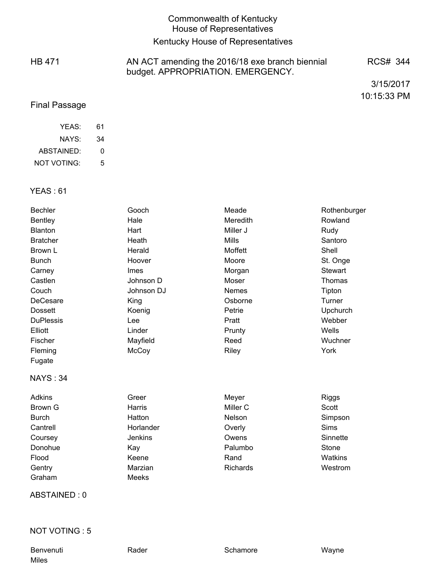# Commonwealth of Kentucky House of Representatives

# Kentucky House of Representatives

HB 471 AN ACT amending the 2016/18 exe branch biennial budget. APPROPRIATION. EMERGENCY. RCS# 344

3/15/2017 10:15:33 PM

### Final Passage

| YFAS:       | 61 |
|-------------|----|
| NAYS:       | 34 |
| ABSTAINED:  | O  |
| NOT VOTING: | 5  |

### YEAS : 61

| <b>Bechler</b>   | Gooch          | Meade               | Rothenburger   |
|------------------|----------------|---------------------|----------------|
| <b>Bentley</b>   | Hale           | Meredith            | Rowland        |
| <b>Blanton</b>   | Hart           | Miller J            | Rudy           |
| <b>Bratcher</b>  | Heath          | <b>Mills</b>        | Santoro        |
| Brown L          | Herald         | Moffett             | Shell          |
| <b>Bunch</b>     | Hoover         | Moore               | St. Onge       |
| Carney           | <b>Imes</b>    | Morgan              | <b>Stewart</b> |
| Castlen          | Johnson D      | Moser               | Thomas         |
| Couch            | Johnson DJ     | <b>Nemes</b>        | Tipton         |
| DeCesare         | King           | Osborne             | Turner         |
| <b>Dossett</b>   | Koenig         | Petrie              | Upchurch       |
| <b>DuPlessis</b> | Lee            | Pratt               | Webber         |
| Elliott          | Linder         | Prunty              | Wells          |
| Fischer          | Mayfield       | Reed                | Wuchner        |
| Fleming          | McCoy          | Riley               | York           |
| Fugate           |                |                     |                |
| <b>NAYS: 34</b>  |                |                     |                |
| <b>Adkins</b>    | Greer          | Meyer               | <b>Riggs</b>   |
| <b>Brown G</b>   | Harris         | Miller <sub>C</sub> | Scott          |
| <b>Burch</b>     | Hatton         | Nelson              | Simpson        |
| Cantrell         | Horlander      | Overly              | Sims           |
| Coursey          | <b>Jenkins</b> | Owens               | Sinnette       |
| Donohue          | Kay            | Palumbo             | Stone          |
| Flood            | Keene          | Rand                | Watkins        |
| Gentry           | Marzian        | Richards            | Westrom        |
| Graham           | Meeks          |                     |                |

ABSTAINED : 0

### NOT VOTING : 5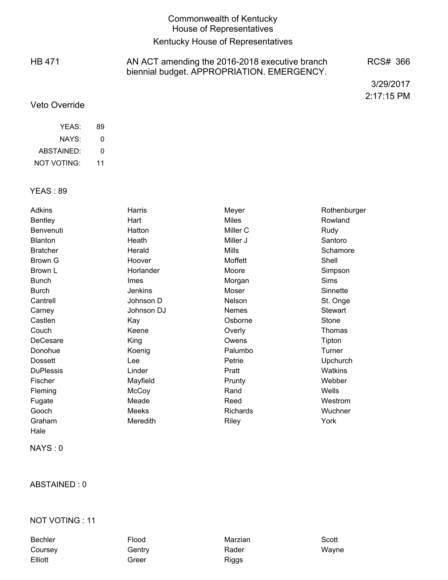### Commonwealth of Kentucky House of Representatives

# Kentucky House of Representatives

HB 471 AN ACT amending the 2016-2018 executive branch biennial budget. APPROPRIATION. EMERGENCY. RCS# 366

> 3/29/2017 2:17:15 PM

### Veto Override

| YFAS:       | 89 |
|-------------|----|
| NAYS:       | O  |
| ABSTAINED:  | O  |
| NOT VOTING: | 11 |

#### YEAS : 89

| Adkins           | Harris      | Meyer        | Rothenburger    |
|------------------|-------------|--------------|-----------------|
| <b>Bentley</b>   | Hart        | <b>Miles</b> | Rowland         |
| Benvenuti        | Hatton      | Miller C     | Rudy            |
| Blanton          | Heath       | Miller J     | Santoro         |
| <b>Bratcher</b>  | Herald      | Mills        | Schamore        |
| Brown G          | Hoover      | Moffett      | Shell           |
| Brown L          | Horlander   | Moore        | Simpson         |
| <b>Bunch</b>     | <b>Imes</b> | Morgan       | <b>Sims</b>     |
| <b>Burch</b>     | Jenkins     | Moser        | Sinnette        |
| Cantrell         | Johnson D   | Nelson       | St. Onge        |
| Carney           | Johnson DJ  | Nemes        | <b>Stewart</b>  |
| Castlen          | Kay         | Osborne      | Stone           |
| Couch            | Keene       | Overly       | Thomas          |
| DeCesare         | King        | Owens        | Tipton          |
| Donohue          | Koenig      | Palumbo      | Turner          |
| <b>Dossett</b>   | Lee         | Petrie       | <b>Upchurch</b> |
| <b>DuPlessis</b> | Linder      | Pratt        | <b>Watkins</b>  |
| Fischer          | Mayfield    | Prunty       | Webber          |
| Fleming          | McCoy       | Rand         | Wells           |
| Fugate           | Meade       | Reed         | Westrom         |
| Gooch            | Meeks       | Richards     | Wuchner         |
| Graham           | Meredith    | Riley        | York            |
| Hale             |             |              |                 |

NAYS : 0

### ABSTAINED : 0

#### NOT VOTING : 11

Bechler **Flood** Flood Marzian Scott Coursey **Gentry** Gentry Rader Rader Wayne Elliott **Greer** Greer **Riggs**